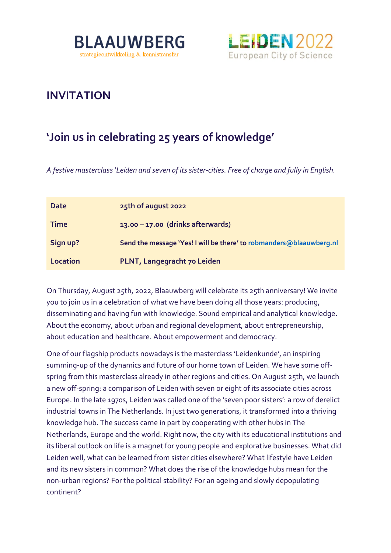



## **INVITATION**

## **'Join us in celebrating 25 years of knowledge'**

*A festive masterclass 'Leiden and seven of its sister-cities. Free of charge and fully in English.* 

| Date            | 25th of august 2022                                                 |
|-----------------|---------------------------------------------------------------------|
| <b>Time</b>     | 13.00 - 17.00 (drinks afterwards)                                   |
| Sign up?        | Send the message 'Yes! I will be there' to robmanders@blaauwberg.nl |
| <b>Location</b> | PLNT, Langegracht 70 Leiden                                         |

On Thursday, August 25th, 2022, Blaauwberg will celebrate its 25th anniversary! We invite you to join us in a celebration of what we have been doing all those years: producing, disseminating and having fun with knowledge. Sound empirical and analytical knowledge. About the economy, about urban and regional development, about entrepreneurship, about education and healthcare. About empowerment and democracy.

One of our flagship products nowadays is the masterclass 'Leidenkunde', an inspiring summing-up of the dynamics and future of our home town of Leiden. We have some offspring from this masterclass already in other regions and cities. On August 25th, we launch a new off-spring: a comparison of Leiden with seven or eight of its associate cities across Europe. In the late 1970s, Leiden was called one of the 'seven poor sisters': a row of derelict industrial towns in The Netherlands. In just two generations, it transformed into a thriving knowledge hub. The success came in part by cooperating with other hubs in The Netherlands, Europe and the world. Right now, the city with its educational institutions and its liberal outlook on life is a magnet for young people and explorative businesses. What did Leiden well, what can be learned from sister cities elsewhere? What lifestyle have Leiden and its new sisters in common? What does the rise of the knowledge hubs mean for the non-urban regions? For the political stability? For an ageing and slowly depopulating continent?